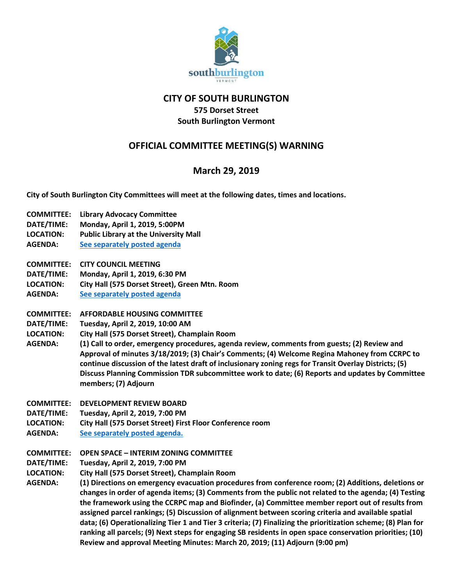

#### **CITY OF SOUTH BURLINGTON 575 Dorset Street**

### **South Burlington Vermont**

# **OFFICIAL COMMITTEE MEETING(S) WARNING**

# **March 29, 2019**

**City of South Burlington City Committees will meet at the following dates, times and locations.** 

- **COMMITTEE: Library Advocacy Committee**
- **DATE/TIME: Monday, April 1, 2019, 5:00PM**
- **LOCATION: Public Library at the University Mall**
- **AGENDA: [See separately posted agenda](http://clerkshq.com/SouthBurlington-vt)**
- **COMMITTEE: CITY COUNCIL MEETING**
- **DATE/TIME: Monday, April 1, 2019, 6:30 PM**
- **LOCATION: City Hall (575 Dorset Street), Green Mtn. Room**
- **AGENDA: [See separately posted agenda](http://clerkshq.com/SouthBurlington-vt)**
- **COMMITTEE: AFFORDABLE HOUSING COMMITTEE**
- **DATE/TIME: Tuesday, April 2, 2019, 10:00 AM**
- **LOCATION: City Hall (575 Dorset Street), Champlain Room**
- **AGENDA: (1) Call to order, emergency procedures, agenda review, comments from guests; (2) Review and Approval of minutes 3/18/2019; (3) Chair's Comments; (4) Welcome Regina Mahoney from CCRPC to continue discussion of the latest draft of inclusionary zoning regs for Transit Overlay Districts; (5) Discuss Planning Commission TDR subcommittee work to date; (6) Reports and updates by Committee members; (7) Adjourn**
- **COMMITTEE: DEVELOPMENT REVIEW BOARD**
- **DATE/TIME: Tuesday, April 2, 2019, 7:00 PM**
- **LOCATION: City Hall (575 Dorset Street) First Floor Conference room**
- **AGENDA: [See separately posted agenda.](http://clerkshq.com/SouthBurlington-vt)**
- **COMMITTEE: OPEN SPACE – INTERIM ZONING COMMITTEE**
- **DATE/TIME: Tuesday, April 2, 2019, 7:00 PM**
- **LOCATION: City Hall (575 Dorset Street), Champlain Room**
- **AGENDA: (1) Directions on emergency evacuation procedures from conference room; (2) Additions, deletions or changes in order of agenda items; (3) Comments from the public not related to the agenda; (4) Testing the framework using the CCRPC map and Biofinder, (a) Committee member report out of results from assigned parcel rankings; (5) Discussion of alignment between scoring criteria and available spatial data; (6) Operationalizing Tier 1 and Tier 3 criteria; (7) Finalizing the prioritization scheme; (8) Plan for ranking all parcels; (9) Next steps for engaging SB residents in open space conservation priorities; (10) Review and approval Meeting Minutes: March 20, 2019; (11) Adjourn (9:00 pm)**